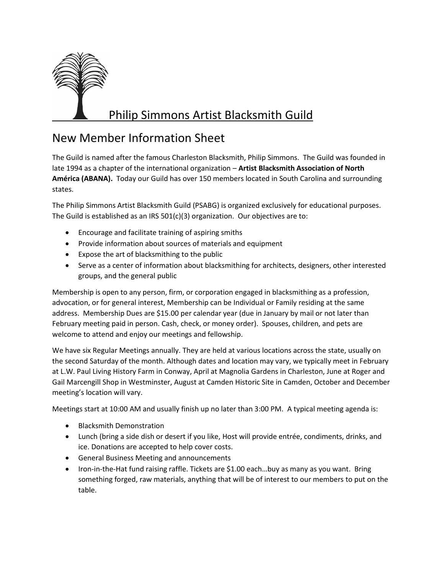

## Philip Simmons Artist Blacksmith Guild

## New Member Information Sheet

The Guild is named after the famous Charleston Blacksmith, Philip Simmons. The Guild was founded in late 1994 as a chapter of the international organization – **Artist Blacksmith Association of North América (ABANA).** Today our Guild has over 150 members located in South Carolina and surrounding states.

The Philip Simmons Artist Blacksmith Guild (PSABG) is organized exclusively for educational purposes. The Guild is established as an IRS 501(c)(3) organization. Our objectives are to:

- Encourage and facilitate training of aspiring smiths
- Provide information about sources of materials and equipment
- Expose the art of blacksmithing to the public
- Serve as a center of information about blacksmithing for architects, designers, other interested groups, and the general public

Membership is open to any person, firm, or corporation engaged in blacksmithing as a profession, advocation, or for general interest, Membership can be Individual or Family residing at the same address. Membership Dues are \$15.00 per calendar year (due in January by mail or not later than February meeting paid in person. Cash, check, or money order). Spouses, children, and pets are welcome to attend and enjoy our meetings and fellowship.

We have six Regular Meetings annually. They are held at various locations across the state, usually on the second Saturday of the month. Although dates and location may vary, we typically meet in February at L.W. Paul Living History Farm in Conway, April at Magnolia Gardens in Charleston, June at Roger and Gail Marcengill Shop in Westminster, August at Camden Historic Site in Camden, October and December meeting's location will vary.

Meetings start at 10:00 AM and usually finish up no later than 3:00 PM. A typical meeting agenda is:

- Blacksmith Demonstration
- Lunch (bring a side dish or desert if you like, Host will provide entrée, condiments, drinks, and ice. Donations are accepted to help cover costs.
- General Business Meeting and announcements
- Iron-in-the-Hat fund raising raffle. Tickets are \$1.00 each...buy as many as you want. Bring something forged, raw materials, anything that will be of interest to our members to put on the table.